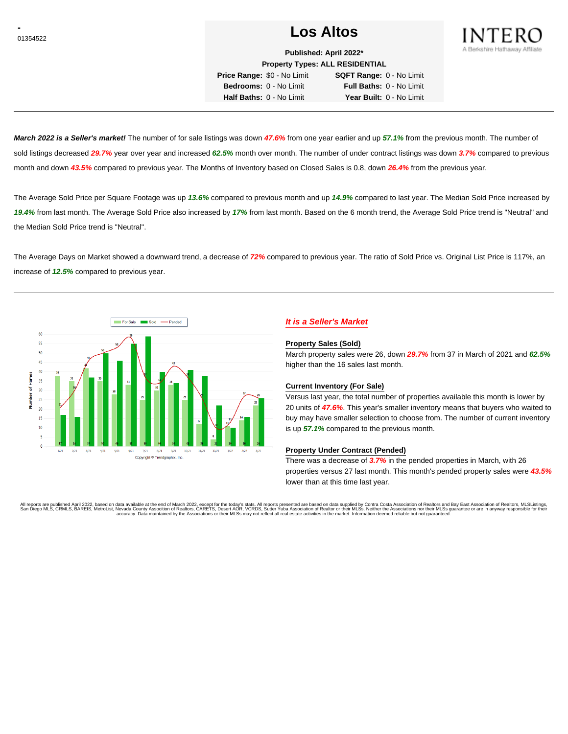# <sup>01354522</sup> **Los Altos**



**Published: April 2022\* Property Types: ALL RESIDENTIAL**

**Price Range:** \$0 - No Limit **SQFT Range:** 0 - No Limit **Bedrooms:** 0 - No Limit **Full Baths:** 0 - No Limit **Half Baths:** 0 - No Limit **Year Built:** 0 - No Limit

**March 2022 is a Seller's market!** The number of for sale listings was down **47.6%** from one year earlier and up **57.1%** from the previous month. The number of sold listings decreased **29.7%** year over year and increased **62.5%** month over month. The number of under contract listings was down **3.7%** compared to previous month and down **43.5%** compared to previous year. The Months of Inventory based on Closed Sales is 0.8, down **26.4%** from the previous year.

The Average Sold Price per Square Footage was up **13.6%** compared to previous month and up **14.9%** compared to last year. The Median Sold Price increased by **19.4%** from last month. The Average Sold Price also increased by **17%** from last month. Based on the 6 month trend, the Average Sold Price trend is "Neutral" and the Median Sold Price trend is "Neutral".

The Average Days on Market showed a downward trend, a decrease of **72%** compared to previous year. The ratio of Sold Price vs. Original List Price is 117%, an increase of **12.5%** compared to previous year.



# **It is a Seller's Market**

### **Property Sales (Sold)**

March property sales were 26, down **29.7%** from 37 in March of 2021 and **62.5%** higher than the 16 sales last month.

## **Current Inventory (For Sale)**

Versus last year, the total number of properties available this month is lower by 20 units of **47.6%**. This year's smaller inventory means that buyers who waited to buy may have smaller selection to choose from. The number of current inventory is up **57.1%** compared to the previous month.

## **Property Under Contract (Pended)**

There was a decrease of **3.7%** in the pended properties in March, with 26 properties versus 27 last month. This month's pended property sales were **43.5%** lower than at this time last year.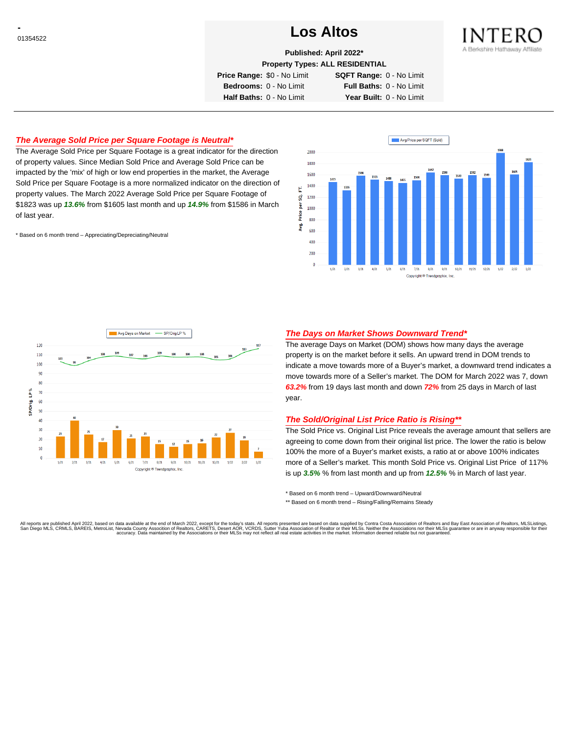# <sup>01354522</sup> **Los Altos**



**Published: April 2022\***

**Property Types: ALL RESIDENTIAL**

**Price Range:** \$0 - No Limit **SQFT Range:** 0 - No Limit

**Bedrooms:** 0 - No Limit **Full Baths:** 0 - No Limit **Half Baths:** 0 - No Limit **Year Built:** 0 - No Limit

## **The Average Sold Price per Square Footage is Neutral\***

The Average Sold Price per Square Footage is a great indicator for the direction of property values. Since Median Sold Price and Average Sold Price can be impacted by the 'mix' of high or low end properties in the market, the Average Sold Price per Square Footage is a more normalized indicator on the direction of property values. The March 2022 Average Sold Price per Square Footage of \$1823 was up **13.6%** from \$1605 last month and up **14.9%** from \$1586 in March of last year.

\* Based on 6 month trend – Appreciating/Depreciating/Neutral





## **The Days on Market Shows Downward Trend\***

The average Days on Market (DOM) shows how many days the average property is on the market before it sells. An upward trend in DOM trends to indicate a move towards more of a Buyer's market, a downward trend indicates a move towards more of a Seller's market. The DOM for March 2022 was 7, down **63.2%** from 19 days last month and down **72%** from 25 days in March of last year.

## **The Sold/Original List Price Ratio is Rising\*\***

The Sold Price vs. Original List Price reveals the average amount that sellers are agreeing to come down from their original list price. The lower the ratio is below 100% the more of a Buyer's market exists, a ratio at or above 100% indicates more of a Seller's market. This month Sold Price vs. Original List Price of 117% is up **3.5%** % from last month and up from **12.5%** % in March of last year.

\* Based on 6 month trend – Upward/Downward/Neutral

\*\* Based on 6 month trend - Rising/Falling/Remains Steady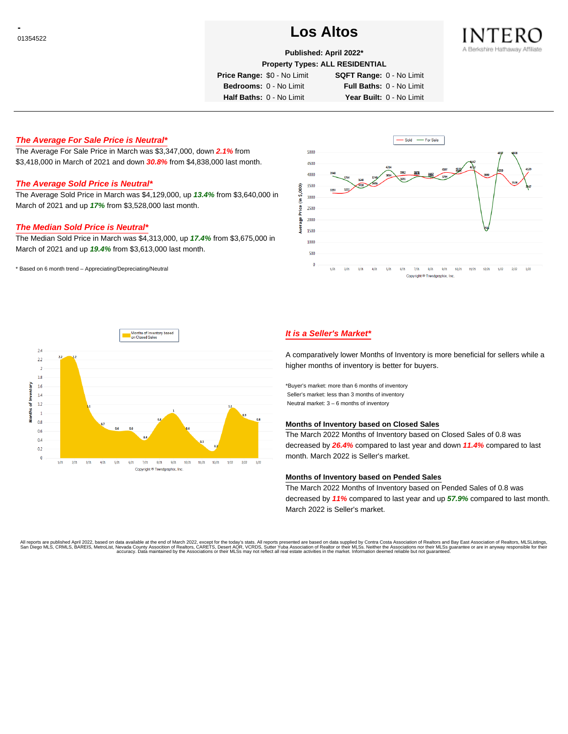# <sup>01354522</sup> **Los Altos**



## **Published: April 2022\***

**Property Types: ALL RESIDENTIAL**

**Price Range:** \$0 - No Limit **SQFT Range:** 0 - No Limit

**Bedrooms:** 0 - No Limit **Full Baths:** 0 - No Limit **Half Baths:** 0 - No Limit **Year Built:** 0 - No Limit

**The Average For Sale Price is Neutral\***

The Average For Sale Price in March was \$3,347,000, down **2.1%** from \$3,418,000 in March of 2021 and down **30.8%** from \$4,838,000 last month.

## **The Average Sold Price is Neutral\***

The Average Sold Price in March was \$4,129,000, up **13.4%** from \$3,640,000 in March of 2021 and up **17%** from \$3,528,000 last month.

### **The Median Sold Price is Neutral\***

The Median Sold Price in March was \$4,313,000, up **17.4%** from \$3,675,000 in March of 2021 and up **19.4%** from \$3,613,000 last month.

\* Based on 6 month trend – Appreciating/Depreciating/Neutral





# **It is a Seller's Market\***

A comparatively lower Months of Inventory is more beneficial for sellers while a higher months of inventory is better for buyers.

\*Buyer's market: more than 6 months of inventory Seller's market: less than 3 months of inventory Neutral market: 3 – 6 months of inventory

# **Months of Inventory based on Closed Sales**

The March 2022 Months of Inventory based on Closed Sales of 0.8 was decreased by **26.4%** compared to last year and down **11.4%** compared to last month. March 2022 is Seller's market.

### **Months of Inventory based on Pended Sales**

The March 2022 Months of Inventory based on Pended Sales of 0.8 was decreased by **11%** compared to last year and up **57.9%** compared to last month. March 2022 is Seller's market.